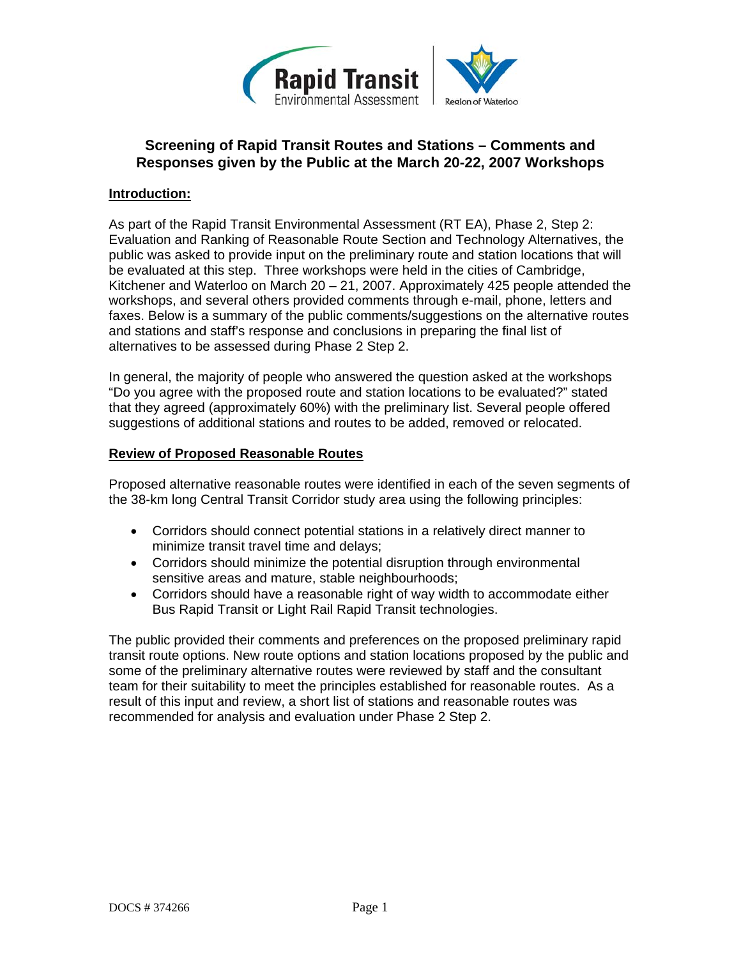

# **Screening of Rapid Transit Routes and Stations – Comments and Responses given by the Public at the March 20-22, 2007 Workshops**

### **Introduction:**

As part of the Rapid Transit Environmental Assessment (RT EA), Phase 2, Step 2: Evaluation and Ranking of Reasonable Route Section and Technology Alternatives, the public was asked to provide input on the preliminary route and station locations that will be evaluated at this step. Three workshops were held in the cities of Cambridge, Kitchener and Waterloo on March 20 – 21, 2007. Approximately 425 people attended the workshops, and several others provided comments through e-mail, phone, letters and faxes. Below is a summary of the public comments/suggestions on the alternative routes and stations and staff's response and conclusions in preparing the final list of alternatives to be assessed during Phase 2 Step 2.

In general, the majority of people who answered the question asked at the workshops "Do you agree with the proposed route and station locations to be evaluated?" stated that they agreed (approximately 60%) with the preliminary list. Several people offered suggestions of additional stations and routes to be added, removed or relocated.

### **Review of Proposed Reasonable Routes**

Proposed alternative reasonable routes were identified in each of the seven segments of the 38-km long Central Transit Corridor study area using the following principles:

- Corridors should connect potential stations in a relatively direct manner to minimize transit travel time and delays;
- Corridors should minimize the potential disruption through environmental sensitive areas and mature, stable neighbourhoods;
- Corridors should have a reasonable right of way width to accommodate either Bus Rapid Transit or Light Rail Rapid Transit technologies.

The public provided their comments and preferences on the proposed preliminary rapid transit route options. New route options and station locations proposed by the public and some of the preliminary alternative routes were reviewed by staff and the consultant team for their suitability to meet the principles established for reasonable routes. As a result of this input and review, a short list of stations and reasonable routes was recommended for analysis and evaluation under Phase 2 Step 2.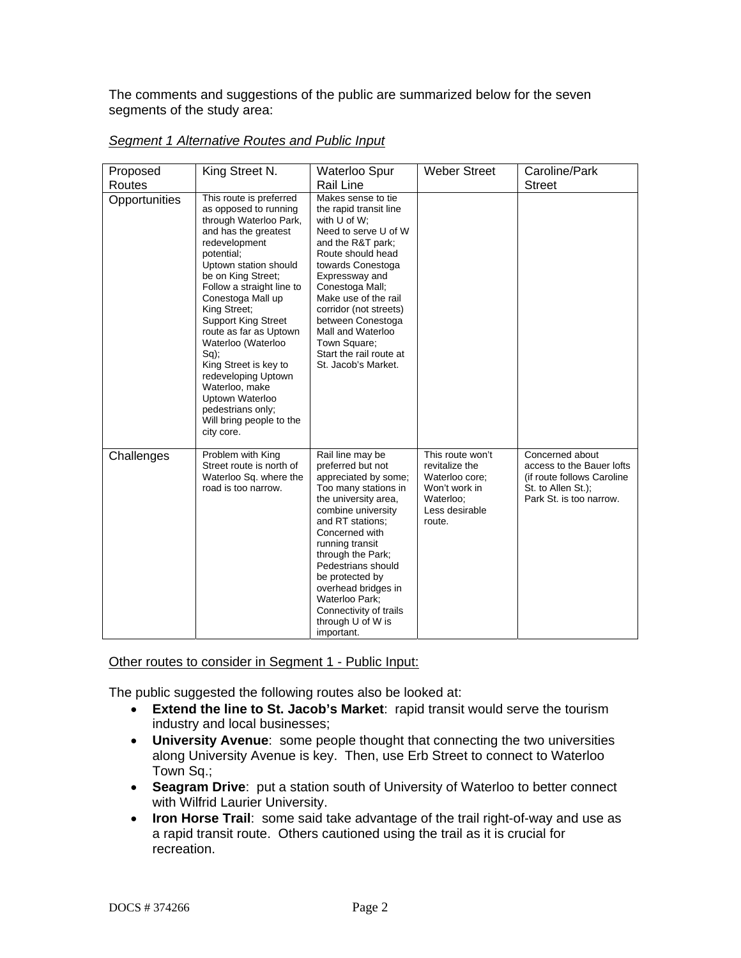The comments and suggestions of the public are summarized below for the seven segments of the study area:

| Proposed<br>Routes | King Street N.                                                                                                                                                                                                                                                                                                                                                                                                                                                                                  | Waterloo Spur<br><b>Rail Line</b>                                                                                                                                                                                                                                                                                                                                | <b>Weber Street</b>                                                                                            | Caroline/Park<br><b>Street</b>                                                                                               |
|--------------------|-------------------------------------------------------------------------------------------------------------------------------------------------------------------------------------------------------------------------------------------------------------------------------------------------------------------------------------------------------------------------------------------------------------------------------------------------------------------------------------------------|------------------------------------------------------------------------------------------------------------------------------------------------------------------------------------------------------------------------------------------------------------------------------------------------------------------------------------------------------------------|----------------------------------------------------------------------------------------------------------------|------------------------------------------------------------------------------------------------------------------------------|
| Opportunities      | This route is preferred<br>as opposed to running<br>through Waterloo Park,<br>and has the greatest<br>redevelopment<br>potential;<br>Uptown station should<br>be on King Street;<br>Follow a straight line to<br>Conestoga Mall up<br>King Street;<br><b>Support King Street</b><br>route as far as Uptown<br>Waterloo (Waterloo<br>$Sq$ );<br>King Street is key to<br>redeveloping Uptown<br>Waterloo, make<br>Uptown Waterloo<br>pedestrians only;<br>Will bring people to the<br>city core. | Makes sense to tie<br>the rapid transit line<br>with $U$ of $W$ ;<br>Need to serve U of W<br>and the R&T park;<br>Route should head<br>towards Conestoga<br>Expressway and<br>Conestoga Mall;<br>Make use of the rail<br>corridor (not streets)<br>between Conestoga<br>Mall and Waterloo<br>Town Square;<br>Start the rail route at<br>St. Jacob's Market.      |                                                                                                                |                                                                                                                              |
| Challenges         | Problem with King<br>Street route is north of<br>Waterloo Sq. where the<br>road is too narrow.                                                                                                                                                                                                                                                                                                                                                                                                  | Rail line may be<br>preferred but not<br>appreciated by some;<br>Too many stations in<br>the university area,<br>combine university<br>and RT stations;<br>Concerned with<br>running transit<br>through the Park;<br>Pedestrians should<br>be protected by<br>overhead bridges in<br>Waterloo Park;<br>Connectivity of trails<br>through U of W is<br>important. | This route won't<br>revitalize the<br>Waterloo core;<br>Won't work in<br>Waterloo;<br>Less desirable<br>route. | Concerned about<br>access to the Bauer lofts<br>(if route follows Caroline)<br>St. to Allen St.);<br>Park St. is too narrow. |

### *Segment 1 Alternative Routes and Public Input*

Other routes to consider in Segment 1 - Public Input:

The public suggested the following routes also be looked at:

- **Extend the line to St. Jacob's Market**: rapid transit would serve the tourism industry and local businesses;
- **University Avenue**: some people thought that connecting the two universities along University Avenue is key. Then, use Erb Street to connect to Waterloo Town Sq.;
- **Seagram Drive**: put a station south of University of Waterloo to better connect with Wilfrid Laurier University.
- **Iron Horse Trail**: some said take advantage of the trail right-of-way and use as a rapid transit route. Others cautioned using the trail as it is crucial for recreation.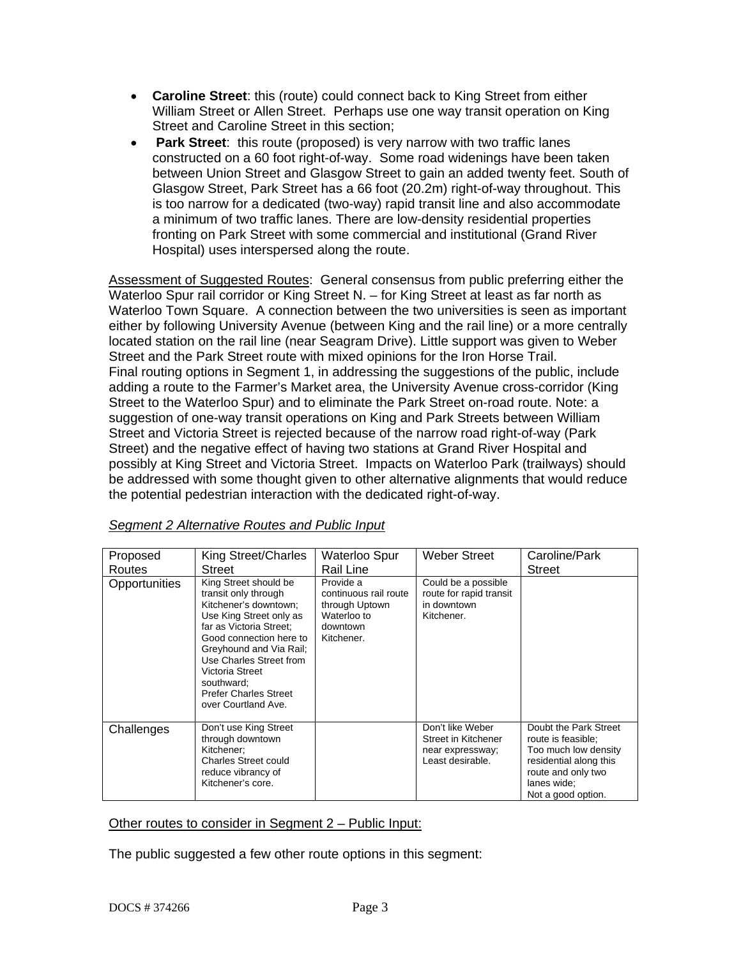- **Caroline Street**: this (route) could connect back to King Street from either William Street or Allen Street. Perhaps use one way transit operation on King Street and Caroline Street in this section;
- • **Park Street**: this route (proposed) is very narrow with two traffic lanes constructed on a 60 foot right-of-way. Some road widenings have been taken between Union Street and Glasgow Street to gain an added twenty feet. South of Glasgow Street, Park Street has a 66 foot (20.2m) right-of-way throughout. This is too narrow for a dedicated (two-way) rapid transit line and also accommodate a minimum of two traffic lanes. There are low-density residential properties fronting on Park Street with some commercial and institutional (Grand River Hospital) uses interspersed along the route.

Assessment of Suggested Routes: General consensus from public preferring either the Waterloo Spur rail corridor or King Street N. – for King Street at least as far north as Waterloo Town Square. A connection between the two universities is seen as important either by following University Avenue (between King and the rail line) or a more centrally located station on the rail line (near Seagram Drive). Little support was given to Weber Street and the Park Street route with mixed opinions for the Iron Horse Trail. Final routing options in Segment 1, in addressing the suggestions of the public, include adding a route to the Farmer's Market area, the University Avenue cross-corridor (King Street to the Waterloo Spur) and to eliminate the Park Street on-road route. Note: a suggestion of one-way transit operations on King and Park Streets between William Street and Victoria Street is rejected because of the narrow road right-of-way (Park Street) and the negative effect of having two stations at Grand River Hospital and possibly at King Street and Victoria Street. Impacts on Waterloo Park (trailways) should be addressed with some thought given to other alternative alignments that would reduce the potential pedestrian interaction with the dedicated right-of-way.

| Proposed      | King Street/Charles                                                                                                                                                                                                                                                                                   | Waterloo Spur                                                                                 | Weber Street                                                                    | Caroline/Park                                                                                                                                            |
|---------------|-------------------------------------------------------------------------------------------------------------------------------------------------------------------------------------------------------------------------------------------------------------------------------------------------------|-----------------------------------------------------------------------------------------------|---------------------------------------------------------------------------------|----------------------------------------------------------------------------------------------------------------------------------------------------------|
| Routes        | Street                                                                                                                                                                                                                                                                                                | Rail Line                                                                                     |                                                                                 | Street                                                                                                                                                   |
| Opportunities | King Street should be<br>transit only through<br>Kitchener's downtown:<br>Use King Street only as<br>far as Victoria Street:<br>Good connection here to<br>Greyhound and Via Rail;<br>Use Charles Street from<br>Victoria Street<br>southward:<br><b>Prefer Charles Street</b><br>over Courtland Ave. | Provide a<br>continuous rail route<br>through Uptown<br>Waterloo to<br>downtown<br>Kitchener. | Could be a possible<br>route for rapid transit<br>in downtown<br>Kitchener.     |                                                                                                                                                          |
| Challenges    | Don't use King Street<br>through downtown<br>Kitchener:<br><b>Charles Street could</b><br>reduce vibrancy of<br>Kitchener's core.                                                                                                                                                                     |                                                                                               | Don't like Weber<br>Street in Kitchener<br>near expressway;<br>Least desirable. | Doubt the Park Street<br>route is feasible;<br>Too much low density<br>residential along this<br>route and only two<br>lanes wide:<br>Not a good option. |

*Segment 2 Alternative Routes and Public Input*

# Other routes to consider in Segment 2 – Public Input:

The public suggested a few other route options in this segment: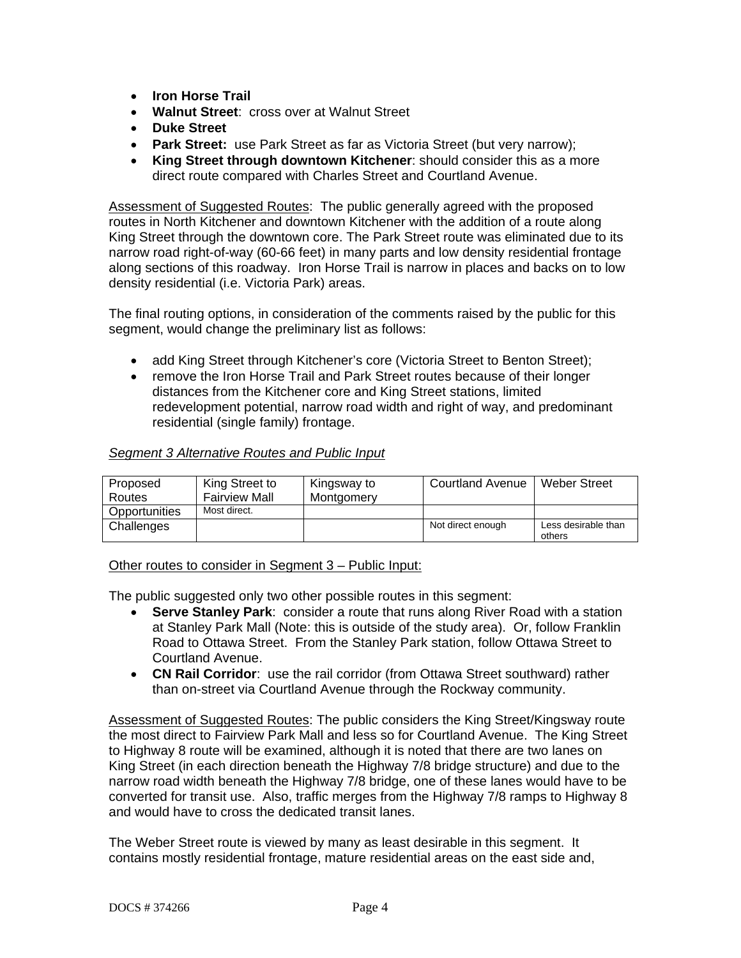- **Iron Horse Trail**
- **Walnut Street**: cross over at Walnut Street
- **Duke Street**
- **Park Street:** use Park Street as far as Victoria Street (but very narrow);
- **King Street through downtown Kitchener**: should consider this as a more direct route compared with Charles Street and Courtland Avenue.

Assessment of Suggested Routes: The public generally agreed with the proposed routes in North Kitchener and downtown Kitchener with the addition of a route along King Street through the downtown core. The Park Street route was eliminated due to its narrow road right-of-way (60-66 feet) in many parts and low density residential frontage along sections of this roadway. Iron Horse Trail is narrow in places and backs on to low density residential (i.e. Victoria Park) areas.

The final routing options, in consideration of the comments raised by the public for this segment, would change the preliminary list as follows:

- add King Street through Kitchener's core (Victoria Street to Benton Street);
- remove the Iron Horse Trail and Park Street routes because of their longer distances from the Kitchener core and King Street stations, limited redevelopment potential, narrow road width and right of way, and predominant residential (single family) frontage.

# *Segment 3 Alternative Routes and Public Input*

| Proposed      | King Street to       | Kingsway to | <b>Courtland Avenue</b> | <b>Weber Street</b>           |
|---------------|----------------------|-------------|-------------------------|-------------------------------|
| Routes        | <b>Fairview Mall</b> | Montgomery  |                         |                               |
| Opportunities | Most direct.         |             |                         |                               |
| Challenges    |                      |             | Not direct enough       | Less desirable than<br>others |

Other routes to consider in Segment 3 – Public Input:

The public suggested only two other possible routes in this segment:

- **Serve Stanley Park:** consider a route that runs along River Road with a station at Stanley Park Mall (Note: this is outside of the study area). Or, follow Franklin Road to Ottawa Street. From the Stanley Park station, follow Ottawa Street to Courtland Avenue.
- **CN Rail Corridor**: use the rail corridor (from Ottawa Street southward) rather than on-street via Courtland Avenue through the Rockway community.

Assessment of Suggested Routes: The public considers the King Street/Kingsway route the most direct to Fairview Park Mall and less so for Courtland Avenue. The King Street to Highway 8 route will be examined, although it is noted that there are two lanes on King Street (in each direction beneath the Highway 7/8 bridge structure) and due to the narrow road width beneath the Highway 7/8 bridge, one of these lanes would have to be converted for transit use. Also, traffic merges from the Highway 7/8 ramps to Highway 8 and would have to cross the dedicated transit lanes.

The Weber Street route is viewed by many as least desirable in this segment. It contains mostly residential frontage, mature residential areas on the east side and,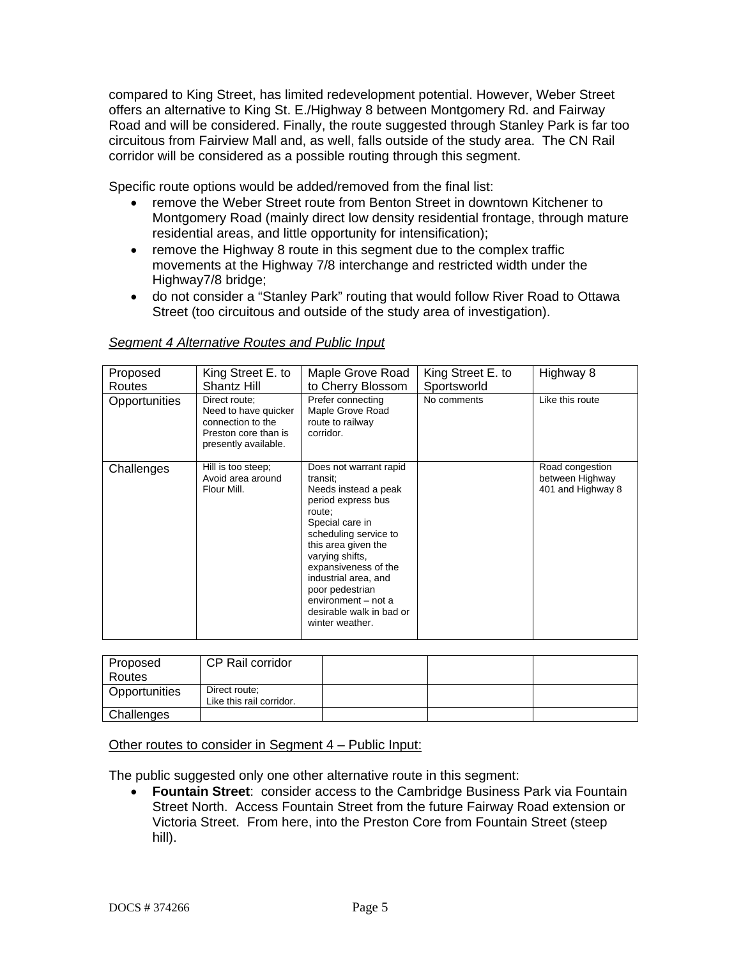compared to King Street, has limited redevelopment potential. However, Weber Street offers an alternative to King St. E./Highway 8 between Montgomery Rd. and Fairway Road and will be considered. Finally, the route suggested through Stanley Park is far too circuitous from Fairview Mall and, as well, falls outside of the study area. The CN Rail corridor will be considered as a possible routing through this segment.

Specific route options would be added/removed from the final list:

- remove the Weber Street route from Benton Street in downtown Kitchener to Montgomery Road (mainly direct low density residential frontage, through mature residential areas, and little opportunity for intensification);
- remove the Highway 8 route in this segment due to the complex traffic movements at the Highway 7/8 interchange and restricted width under the Highway7/8 bridge;
- do not consider a "Stanley Park" routing that would follow River Road to Ottawa Street (too circuitous and outside of the study area of investigation).

| Proposed<br>Routes | King Street E. to<br>Shantz Hill                                                                           | Maple Grove Road<br>to Cherry Blossom                                                                                                                                                                                                                                                                                     | King Street E. to<br>Sportsworld | Highway 8                                               |
|--------------------|------------------------------------------------------------------------------------------------------------|---------------------------------------------------------------------------------------------------------------------------------------------------------------------------------------------------------------------------------------------------------------------------------------------------------------------------|----------------------------------|---------------------------------------------------------|
| Opportunities      | Direct route:<br>Need to have quicker<br>connection to the<br>Preston core than is<br>presently available. | Prefer connecting<br>Maple Grove Road<br>route to railway<br>corridor.                                                                                                                                                                                                                                                    | No comments                      | Like this route                                         |
| Challenges         | Hill is too steep;<br>Avoid area around<br>Flour Mill.                                                     | Does not warrant rapid<br>transit;<br>Needs instead a peak<br>period express bus<br>route:<br>Special care in<br>scheduling service to<br>this area given the<br>varying shifts,<br>expansiveness of the<br>industrial area, and<br>poor pedestrian<br>environment - not a<br>desirable walk in bad or<br>winter weather. |                                  | Road congestion<br>between Highway<br>401 and Highway 8 |

# *Segment 4 Alternative Routes and Public Input*

| Proposed<br>Routes | CP Rail corridor                          |  |  |
|--------------------|-------------------------------------------|--|--|
| Opportunities      | Direct route:<br>Like this rail corridor. |  |  |
| Challenges         |                                           |  |  |

# Other routes to consider in Segment 4 – Public Input:

The public suggested only one other alternative route in this segment:

• **Fountain Street**: consider access to the Cambridge Business Park via Fountain Street North. Access Fountain Street from the future Fairway Road extension or Victoria Street. From here, into the Preston Core from Fountain Street (steep hill).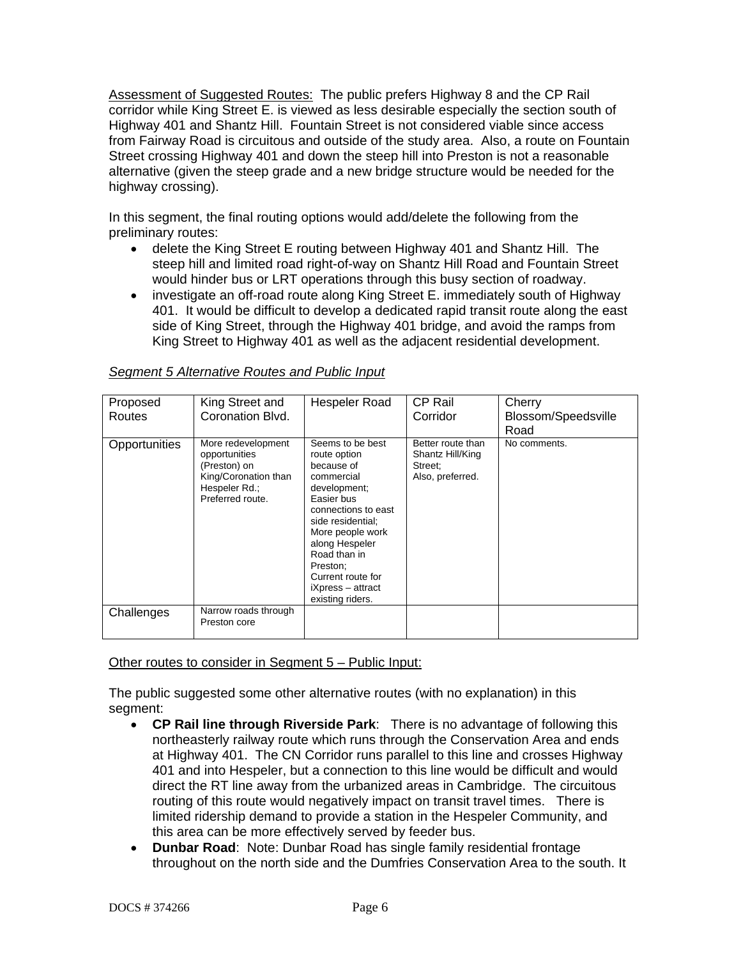Assessment of Suggested Routes: The public prefers Highway 8 and the CP Rail corridor while King Street E. is viewed as less desirable especially the section south of Highway 401 and Shantz Hill. Fountain Street is not considered viable since access from Fairway Road is circuitous and outside of the study area. Also, a route on Fountain Street crossing Highway 401 and down the steep hill into Preston is not a reasonable alternative (given the steep grade and a new bridge structure would be needed for the highway crossing).

In this segment, the final routing options would add/delete the following from the preliminary routes:

- delete the King Street E routing between Highway 401 and Shantz Hill. The steep hill and limited road right-of-way on Shantz Hill Road and Fountain Street would hinder bus or LRT operations through this busy section of roadway.
- investigate an off-road route along King Street E. immediately south of Highway 401. It would be difficult to develop a dedicated rapid transit route along the east side of King Street, through the Highway 401 bridge, and avoid the ramps from King Street to Highway 401 as well as the adjacent residential development.

| Proposed<br><b>Routes</b> | King Street and<br>Coronation Blvd.                                                                              | Hespeler Road                                                                                                                                                                                                                                                          | CP Rail<br>Corridor                                                  | Cherry<br>Blossom/Speedsville<br>Road |
|---------------------------|------------------------------------------------------------------------------------------------------------------|------------------------------------------------------------------------------------------------------------------------------------------------------------------------------------------------------------------------------------------------------------------------|----------------------------------------------------------------------|---------------------------------------|
| Opportunities             | More redevelopment<br>opportunities<br>(Preston) on<br>King/Coronation than<br>Hespeler Rd.;<br>Preferred route. | Seems to be best<br>route option<br>because of<br>commercial<br>development;<br>Easier bus<br>connections to east<br>side residential;<br>More people work<br>along Hespeler<br>Road than in<br>Preston;<br>Current route for<br>iXpress – attract<br>existing riders. | Better route than<br>Shantz Hill/King<br>Street:<br>Also, preferred. | No comments.                          |
| Challenges                | Narrow roads through<br>Preston core                                                                             |                                                                                                                                                                                                                                                                        |                                                                      |                                       |

#### *Segment 5 Alternative Routes and Public Input*

#### Other routes to consider in Segment 5 – Public Input:

The public suggested some other alternative routes (with no explanation) in this segment:

- **CP Rail line through Riverside Park**:There is no advantage of following this northeasterly railway route which runs through the Conservation Area and ends at Highway 401. The CN Corridor runs parallel to this line and crosses Highway 401 and into Hespeler, but a connection to this line would be difficult and would direct the RT line away from the urbanized areas in Cambridge. The circuitous routing of this route would negatively impact on transit travel times. There is limited ridership demand to provide a station in the Hespeler Community, and this area can be more effectively served by feeder bus.
- **Dunbar Road**: Note: Dunbar Road has single family residential frontage throughout on the north side and the Dumfries Conservation Area to the south. It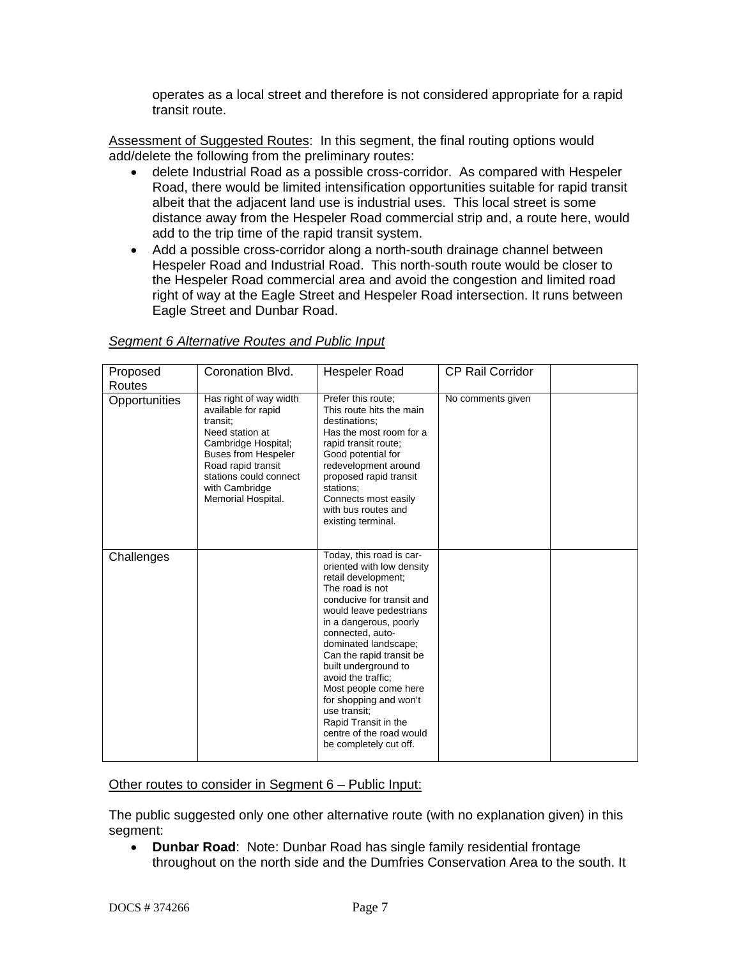operates as a local street and therefore is not considered appropriate for a rapid transit route.

Assessment of Suggested Routes: In this segment, the final routing options would add/delete the following from the preliminary routes:

- delete Industrial Road as a possible cross-corridor. As compared with Hespeler Road, there would be limited intensification opportunities suitable for rapid transit albeit that the adjacent land use is industrial uses. This local street is some distance away from the Hespeler Road commercial strip and, a route here, would add to the trip time of the rapid transit system.
- Add a possible cross-corridor along a north-south drainage channel between Hespeler Road and Industrial Road. This north-south route would be closer to the Hespeler Road commercial area and avoid the congestion and limited road right of way at the Eagle Street and Hespeler Road intersection. It runs between Eagle Street and Dunbar Road.

| Proposed      | Coronation Blvd.                                                                                                                                                                                                          | Hespeler Road                                                                                                                                                                                                                                                                                                                                                                                                                                            | <b>CP Rail Corridor</b> |  |
|---------------|---------------------------------------------------------------------------------------------------------------------------------------------------------------------------------------------------------------------------|----------------------------------------------------------------------------------------------------------------------------------------------------------------------------------------------------------------------------------------------------------------------------------------------------------------------------------------------------------------------------------------------------------------------------------------------------------|-------------------------|--|
| Routes        |                                                                                                                                                                                                                           |                                                                                                                                                                                                                                                                                                                                                                                                                                                          |                         |  |
| Opportunities | Has right of way width<br>available for rapid<br>transit;<br>Need station at<br>Cambridge Hospital;<br><b>Buses from Hespeler</b><br>Road rapid transit<br>stations could connect<br>with Cambridge<br>Memorial Hospital. | Prefer this route;<br>This route hits the main<br>destinations;<br>Has the most room for a<br>rapid transit route;<br>Good potential for<br>redevelopment around<br>proposed rapid transit<br>stations:<br>Connects most easily<br>with bus routes and<br>existing terminal.                                                                                                                                                                             | No comments given       |  |
| Challenges    |                                                                                                                                                                                                                           | Today, this road is car-<br>oriented with low density<br>retail development;<br>The road is not<br>conducive for transit and<br>would leave pedestrians<br>in a dangerous, poorly<br>connected, auto-<br>dominated landscape;<br>Can the rapid transit be<br>built underground to<br>avoid the traffic:<br>Most people come here<br>for shopping and won't<br>use transit:<br>Rapid Transit in the<br>centre of the road would<br>be completely cut off. |                         |  |

# *Segment 6 Alternative Routes and Public Input*

### Other routes to consider in Segment 6 – Public Input:

The public suggested only one other alternative route (with no explanation given) in this segment:

• **Dunbar Road**: Note: Dunbar Road has single family residential frontage throughout on the north side and the Dumfries Conservation Area to the south. It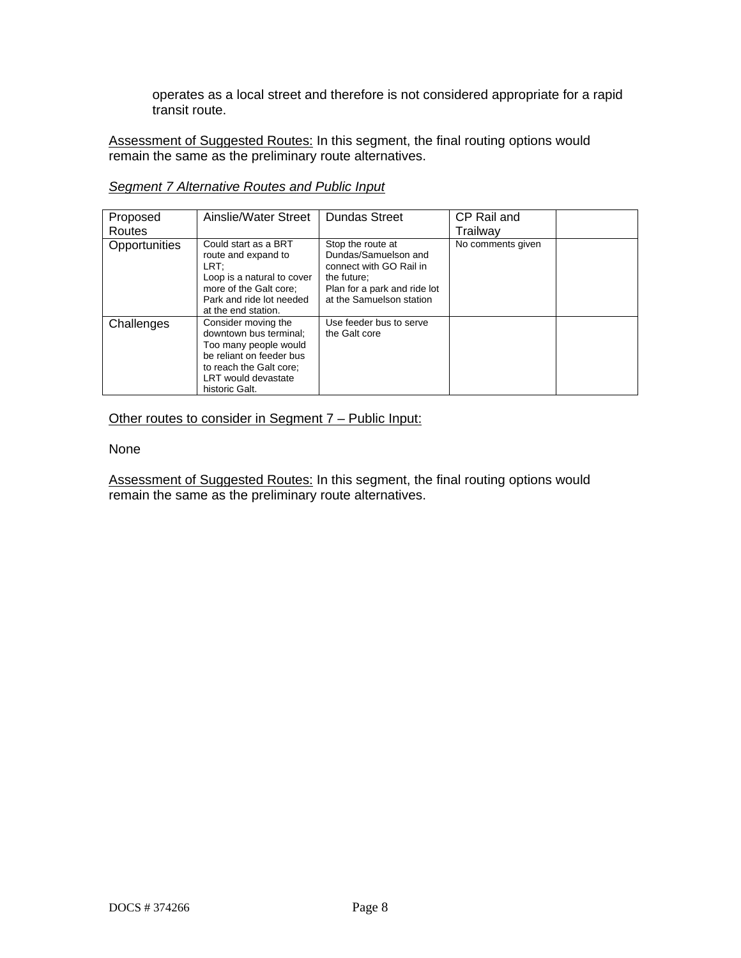operates as a local street and therefore is not considered appropriate for a rapid transit route.

Assessment of Suggested Routes: In this segment, the final routing options would remain the same as the preliminary route alternatives.

| Proposed<br>Routes | Ainslie/Water Street                                                                                                                                                   | <b>Dundas Street</b>                                                                                                                            | CP Rail and<br>Trailwav |  |
|--------------------|------------------------------------------------------------------------------------------------------------------------------------------------------------------------|-------------------------------------------------------------------------------------------------------------------------------------------------|-------------------------|--|
| Opportunities      | Could start as a BRT<br>route and expand to<br>LRT:<br>Loop is a natural to cover<br>more of the Galt core:<br>Park and ride lot needed<br>at the end station.         | Stop the route at<br>Dundas/Samuelson and<br>connect with GO Rail in<br>the future;<br>Plan for a park and ride lot<br>at the Samuelson station | No comments given       |  |
| Challenges         | Consider moving the<br>downtown bus terminal;<br>Too many people would<br>be reliant on feeder bus<br>to reach the Galt core;<br>LRT would devastate<br>historic Galt. | Use feeder bus to serve<br>the Galt core                                                                                                        |                         |  |

*Segment 7 Alternative Routes and Public Input*

# Other routes to consider in Segment 7 – Public Input:

#### None

Assessment of Suggested Routes: In this segment, the final routing options would **THE REPTITE THE SAME STATE STATE STATE STATE STATE STATE STATE STATE STATE STATE STATE STATE STATE STATE STATE STATE STATE STATE STATE STATE STATE STATE STATE STATE STATE STATE STATE STATE STATE STATE STATE STATE STATE ST**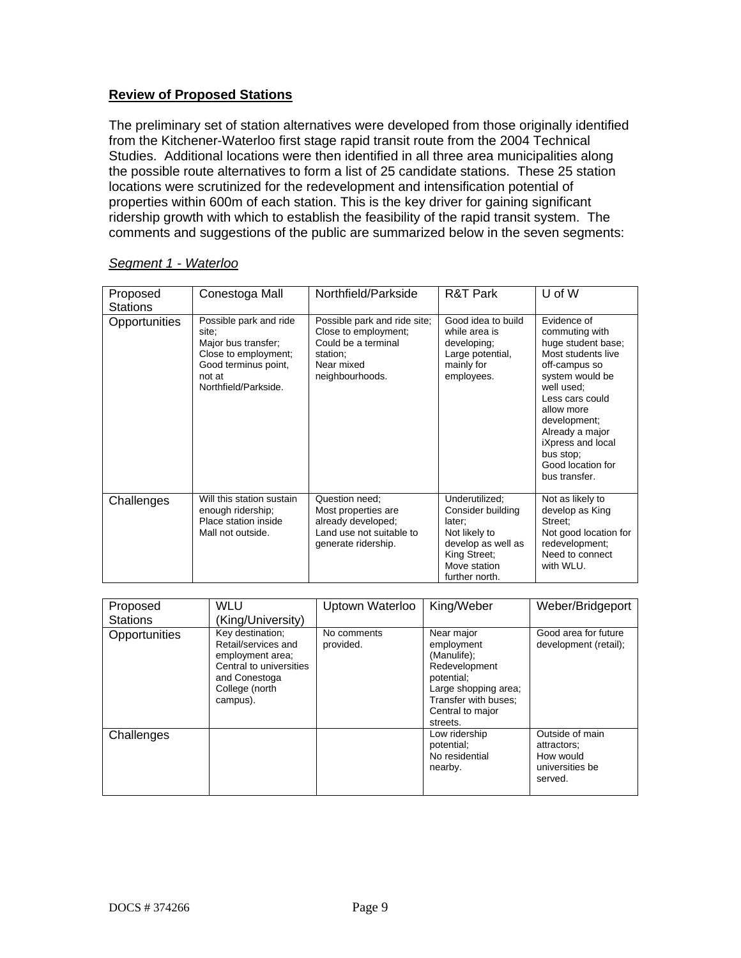# **Review of Proposed Stations**

The preliminary set of station alternatives were developed from those originally identified from the Kitchener-Waterloo first stage rapid transit route from the 2004 Technical Studies. Additional locations were then identified in all three area municipalities along the possible route alternatives to form a list of 25 candidate stations. These 25 station locations were scrutinized for the redevelopment and intensification potential of properties within 600m of each station. This is the key driver for gaining significant ridership growth with which to establish the feasibility of the rapid transit system. The comments and suggestions of the public are summarized below in the seven segments:

| Proposed<br><b>Stations</b> | Conestoga Mall                                                                                                                           | Northfield/Parkside                                                                                                      | R&T Park                                                                                                                               | U of W                                                                                                                                                                                                                                                                  |
|-----------------------------|------------------------------------------------------------------------------------------------------------------------------------------|--------------------------------------------------------------------------------------------------------------------------|----------------------------------------------------------------------------------------------------------------------------------------|-------------------------------------------------------------------------------------------------------------------------------------------------------------------------------------------------------------------------------------------------------------------------|
| Opportunities               | Possible park and ride<br>site:<br>Major bus transfer;<br>Close to employment;<br>Good terminus point,<br>not at<br>Northfield/Parkside. | Possible park and ride site;<br>Close to employment;<br>Could be a terminal<br>station;<br>Near mixed<br>neighbourhoods. | Good idea to build<br>while area is<br>developing;<br>Large potential,<br>mainly for<br>employees.                                     | Evidence of<br>commuting with<br>huge student base;<br>Most students live<br>off-campus so<br>system would be<br>well used;<br>Less cars could<br>allow more<br>development:<br>Already a major<br>iXpress and local<br>bus stop;<br>Good location for<br>bus transfer. |
| Challenges                  | Will this station sustain<br>enough ridership;<br>Place station inside<br>Mall not outside.                                              | Question need;<br>Most properties are<br>already developed;<br>Land use not suitable to<br>generate ridership.           | Underutilized;<br>Consider building<br>later;<br>Not likely to<br>develop as well as<br>King Street:<br>Move station<br>further north. | Not as likely to<br>develop as King<br>Street:<br>Not good location for<br>redevelopment;<br>Need to connect<br>with WLU.                                                                                                                                               |

### *Segment 1 - Waterloo*

| Proposed<br><b>Stations</b> | WLU<br>(King/University)                                                                                                              | Uptown Waterloo          | King/Weber                                                                                                                                             | Weber/Bridgeport                                                          |
|-----------------------------|---------------------------------------------------------------------------------------------------------------------------------------|--------------------------|--------------------------------------------------------------------------------------------------------------------------------------------------------|---------------------------------------------------------------------------|
| Opportunities               | Key destination;<br>Retail/services and<br>employment area;<br>Central to universities<br>and Conestoga<br>College (north<br>campus). | No comments<br>provided. | Near major<br>employment<br>(Manulife);<br>Redevelopment<br>potential;<br>Large shopping area;<br>Transfer with buses:<br>Central to major<br>streets. | Good area for future<br>development (retail);                             |
| Challenges                  |                                                                                                                                       |                          | Low ridership<br>potential;<br>No residential<br>nearby.                                                                                               | Outside of main<br>attractors:<br>How would<br>universities be<br>served. |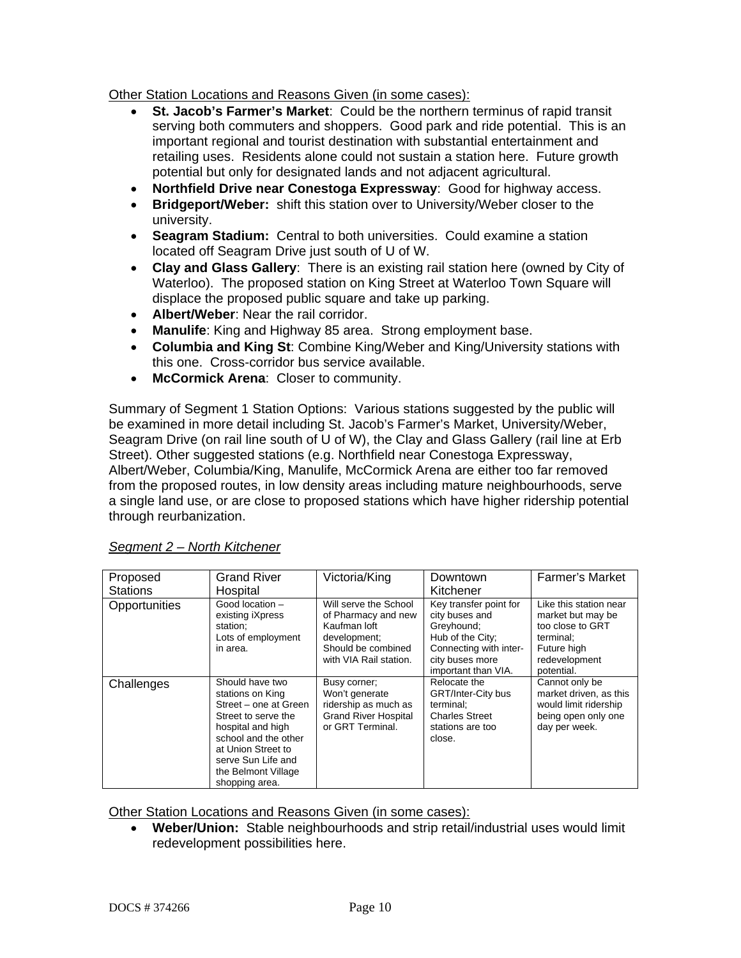Other Station Locations and Reasons Given (in some cases):

- **St. Jacob's Farmer's Market**: Could be the northern terminus of rapid transit serving both commuters and shoppers. Good park and ride potential. This is an important regional and tourist destination with substantial entertainment and retailing uses. Residents alone could not sustain a station here. Future growth potential but only for designated lands and not adjacent agricultural.
- **Northfield Drive near Conestoga Expressway**: Good for highway access.
- **Bridgeport/Weber:** shift this station over to University/Weber closer to the university.
- **Seagram Stadium:** Central to both universities. Could examine a station located off Seagram Drive just south of U of W.
- **Clay and Glass Gallery**: There is an existing rail station here (owned by City of Waterloo). The proposed station on King Street at Waterloo Town Square will displace the proposed public square and take up parking.
- **Albert/Weber**: Near the rail corridor.
- **Manulife**: King and Highway 85 area. Strong employment base.
- **Columbia and King St**: Combine King/Weber and King/University stations with this one. Cross-corridor bus service available.
- **McCormick Arena**: Closer to community.

Summary of Segment 1 Station Options: Various stations suggested by the public will be examined in more detail including St. Jacob's Farmer's Market, University/Weber, Seagram Drive (on rail line south of U of W), the Clay and Glass Gallery (rail line at Erb Street). Other suggested stations (e.g. Northfield near Conestoga Expressway, Albert/Weber, Columbia/King, Manulife, McCormick Arena are either too far removed from the proposed routes, in low density areas including mature neighbourhoods, serve a single land use, or are close to proposed stations which have higher ridership potential through reurbanization.

| Proposed<br><b>Stations</b> | <b>Grand River</b><br>Hospital                                                                                                                                                                                        | Victoria/King                                                                                                                | Downtown<br>Kitchener                                                                                                                          | <b>Farmer's Market</b>                                                                                                     |
|-----------------------------|-----------------------------------------------------------------------------------------------------------------------------------------------------------------------------------------------------------------------|------------------------------------------------------------------------------------------------------------------------------|------------------------------------------------------------------------------------------------------------------------------------------------|----------------------------------------------------------------------------------------------------------------------------|
| Opportunities               | Good location -<br>existing iXpress<br>station:<br>Lots of employment<br>in area.                                                                                                                                     | Will serve the School<br>of Pharmacy and new<br>Kaufman loft<br>development;<br>Should be combined<br>with VIA Rail station. | Key transfer point for<br>city buses and<br>Greyhound;<br>Hub of the City;<br>Connecting with inter-<br>city buses more<br>important than VIA. | Like this station near<br>market but may be<br>too close to GRT<br>terminal:<br>Future high<br>redevelopment<br>potential. |
| Challenges                  | Should have two<br>stations on King<br>Street – one at Green<br>Street to serve the<br>hospital and high<br>school and the other<br>at Union Street to<br>serve Sun Life and<br>the Belmont Village<br>shopping area. | Busy corner;<br>Won't generate<br>ridership as much as<br><b>Grand River Hospital</b><br>or GRT Terminal.                    | Relocate the<br><b>GRT/Inter-City bus</b><br>terminal;<br><b>Charles Street</b><br>stations are too<br>close.                                  | Cannot only be<br>market driven, as this<br>would limit ridership<br>being open only one<br>day per week.                  |

*Segment 2 – North Kitchener*

Other Station Locations and Reasons Given (in some cases):

• **Weber/Union:** Stable neighbourhoods and strip retail/industrial uses would limit redevelopment possibilities here.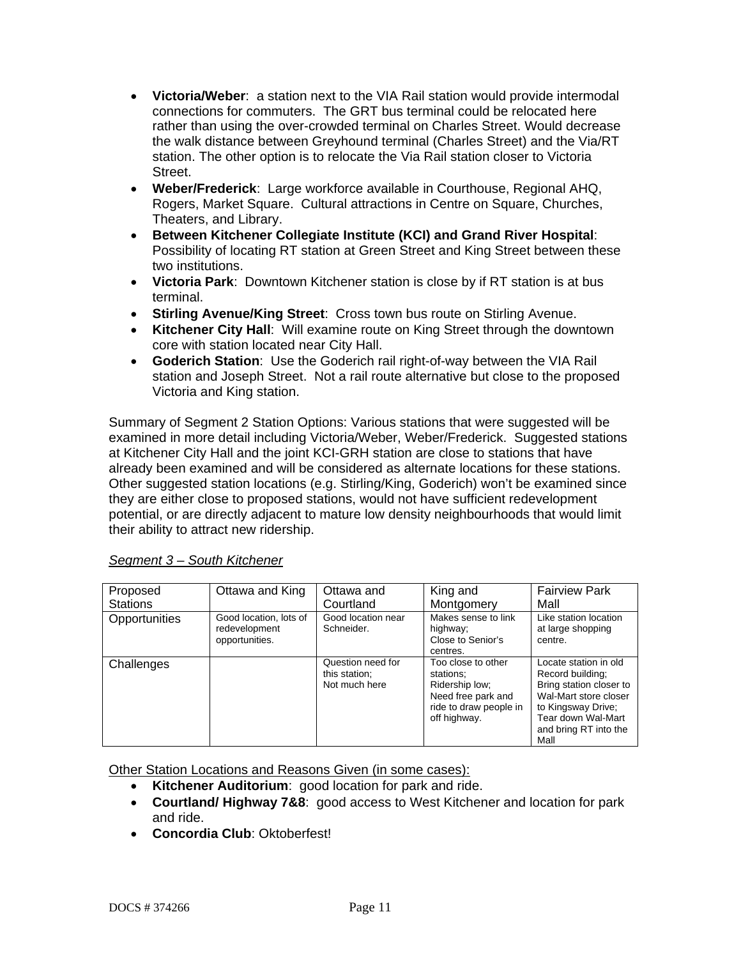- **Victoria/Weber**: a station next to the VIA Rail station would provide intermodal connections for commuters. The GRT bus terminal could be relocated here rather than using the over-crowded terminal on Charles Street. Would decrease the walk distance between Greyhound terminal (Charles Street) and the Via/RT station. The other option is to relocate the Via Rail station closer to Victoria Street.
- **Weber/Frederick**: Large workforce available in Courthouse, Regional AHQ, Rogers, Market Square. Cultural attractions in Centre on Square, Churches, Theaters, and Library.
- **Between Kitchener Collegiate Institute (KCI) and Grand River Hospital**: Possibility of locating RT station at Green Street and King Street between these two institutions.
- **Victoria Park**: Downtown Kitchener station is close by if RT station is at bus terminal.
- **Stirling Avenue/King Street**: Cross town bus route on Stirling Avenue.
- **Kitchener City Hall**: Will examine route on King Street through the downtown core with station located near City Hall.
- **Goderich Station**: Use the Goderich rail right-of-way between the VIA Rail station and Joseph Street. Not a rail route alternative but close to the proposed Victoria and King station.

Summary of Segment 2 Station Options: Various stations that were suggested will be examined in more detail including Victoria/Weber, Weber/Frederick. Suggested stations at Kitchener City Hall and the joint KCI-GRH station are close to stations that have already been examined and will be considered as alternate locations for these stations. Other suggested station locations (e.g. Stirling/King, Goderich) won't be examined since they are either close to proposed stations, would not have sufficient redevelopment potential, or are directly adjacent to mature low density neighbourhoods that would limit their ability to attract new ridership.

| Proposed<br><b>Stations</b> | Ottawa and King                                           | Ottawa and<br>Courtland                             | King and<br>Montgomery                                                                                            | <b>Fairview Park</b><br>Mall                                                                                                                                               |
|-----------------------------|-----------------------------------------------------------|-----------------------------------------------------|-------------------------------------------------------------------------------------------------------------------|----------------------------------------------------------------------------------------------------------------------------------------------------------------------------|
| Opportunities               | Good location, lots of<br>redevelopment<br>opportunities. | Good location near<br>Schneider.                    | Makes sense to link<br>highway;<br>Close to Senior's<br>centres.                                                  | Like station location<br>at large shopping<br>centre.                                                                                                                      |
| Challenges                  |                                                           | Question need for<br>this station:<br>Not much here | Too close to other<br>stations:<br>Ridership low;<br>Need free park and<br>ride to draw people in<br>off highway. | Locate station in old<br>Record building:<br>Bring station closer to<br>Wal-Mart store closer<br>to Kingsway Drive;<br>Tear down Wal-Mart<br>and bring RT into the<br>Mall |

# *Segment 3 – South Kitchener*

Other Station Locations and Reasons Given (in some cases):

- **Kitchener Auditorium**: good location for park and ride.
- **Courtland/ Highway 7&8**: good access to West Kitchener and location for park and ride.
- **Concordia Club**: Oktoberfest!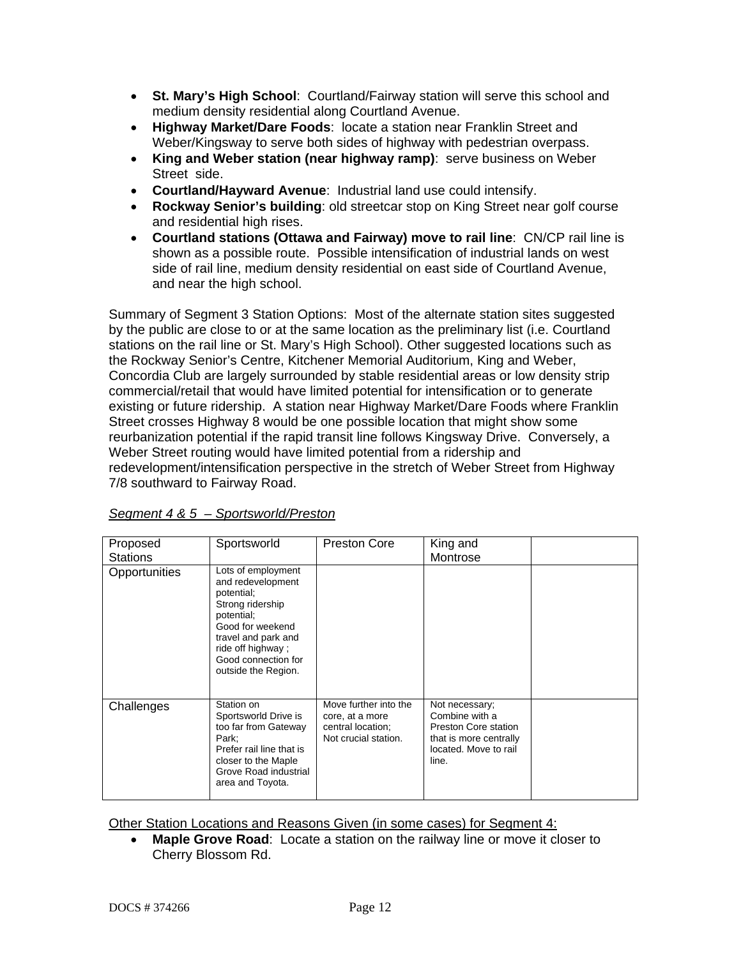- **St. Mary's High School**: Courtland/Fairway station will serve this school and medium density residential along Courtland Avenue.
- **Highway Market/Dare Foods**: locate a station near Franklin Street and Weber/Kingsway to serve both sides of highway with pedestrian overpass.
- **King and Weber station (near highway ramp)**: serve business on Weber Street side.
- **Courtland/Hayward Avenue**: Industrial land use could intensify.
- **Rockway Senior's building**: old streetcar stop on King Street near golf course and residential high rises.
- **Courtland stations (Ottawa and Fairway) move to rail line**: CN/CP rail line is shown as a possible route. Possible intensification of industrial lands on west side of rail line, medium density residential on east side of Courtland Avenue, and near the high school.

Summary of Segment 3 Station Options: Most of the alternate station sites suggested by the public are close to or at the same location as the preliminary list (i.e. Courtland stations on the rail line or St. Mary's High School). Other suggested locations such as the Rockway Senior's Centre, Kitchener Memorial Auditorium, King and Weber, Concordia Club are largely surrounded by stable residential areas or low density strip commercial/retail that would have limited potential for intensification or to generate existing or future ridership. A station near Highway Market/Dare Foods where Franklin Street crosses Highway 8 would be one possible location that might show some reurbanization potential if the rapid transit line follows Kingsway Drive. Conversely, a Weber Street routing would have limited potential from a ridership and redevelopment/intensification perspective in the stretch of Weber Street from Highway 7/8 southward to Fairway Road.

| Proposed<br><b>Stations</b> | Sportsworld                                                                                                                                                                                           | Preston Core                                                                          | King and<br>Montrose                                                                                                        |  |
|-----------------------------|-------------------------------------------------------------------------------------------------------------------------------------------------------------------------------------------------------|---------------------------------------------------------------------------------------|-----------------------------------------------------------------------------------------------------------------------------|--|
| Opportunities               | Lots of employment<br>and redevelopment<br>potential;<br>Strong ridership<br>potential;<br>Good for weekend<br>travel and park and<br>ride off highway;<br>Good connection for<br>outside the Region. |                                                                                       |                                                                                                                             |  |
| Challenges                  | Station on<br>Sportsworld Drive is<br>too far from Gateway<br>Park;<br>Prefer rail line that is<br>closer to the Maple<br>Grove Road industrial<br>area and Toyota.                                   | Move further into the<br>core, at a more<br>central location;<br>Not crucial station. | Not necessary;<br>Combine with a<br><b>Preston Core station</b><br>that is more centrally<br>located. Move to rail<br>line. |  |

*Segment 4 & 5 – Sportsworld/Preston*

Other Station Locations and Reasons Given (in some cases) for Segment 4:

• **Maple Grove Road**: Locate a station on the railway line or move it closer to Cherry Blossom Rd.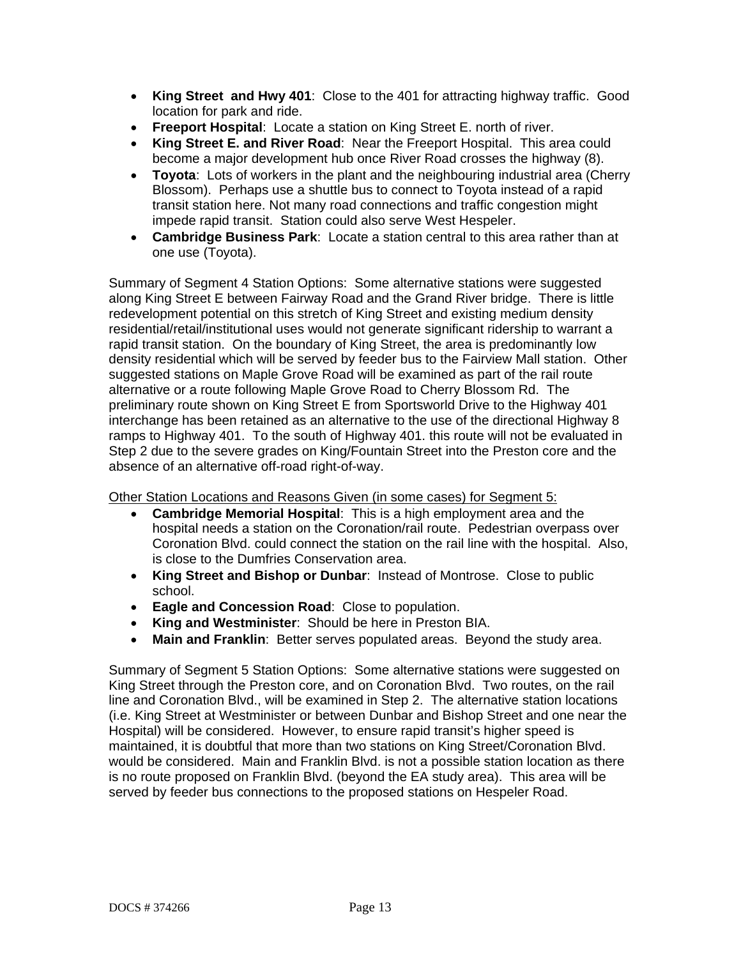- **King Street and Hwy 401**: Close to the 401 for attracting highway traffic. Good location for park and ride.
- **Freeport Hospital**: Locate a station on King Street E. north of river.
- **King Street E. and River Road**: Near the Freeport Hospital. This area could become a major development hub once River Road crosses the highway (8).
- **Toyota**: Lots of workers in the plant and the neighbouring industrial area (Cherry Blossom). Perhaps use a shuttle bus to connect to Toyota instead of a rapid transit station here. Not many road connections and traffic congestion might impede rapid transit. Station could also serve West Hespeler.
- **Cambridge Business Park**: Locate a station central to this area rather than at one use (Toyota).

Summary of Segment 4 Station Options: Some alternative stations were suggested along King Street E between Fairway Road and the Grand River bridge. There is little redevelopment potential on this stretch of King Street and existing medium density residential/retail/institutional uses would not generate significant ridership to warrant a rapid transit station. On the boundary of King Street, the area is predominantly low density residential which will be served by feeder bus to the Fairview Mall station. Other suggested stations on Maple Grove Road will be examined as part of the rail route alternative or a route following Maple Grove Road to Cherry Blossom Rd. The preliminary route shown on King Street E from Sportsworld Drive to the Highway 401 interchange has been retained as an alternative to the use of the directional Highway 8 ramps to Highway 401. To the south of Highway 401. this route will not be evaluated in Step 2 due to the severe grades on King/Fountain Street into the Preston core and the absence of an alternative off-road right-of-way.

Other Station Locations and Reasons Given (in some cases) for Segment 5:

- **Cambridge Memorial Hospital**: This is a high employment area and the hospital needs a station on the Coronation/rail route. Pedestrian overpass over Coronation Blvd. could connect the station on the rail line with the hospital. Also, is close to the Dumfries Conservation area.
- **King Street and Bishop or Dunbar**: Instead of Montrose. Close to public school.
- **Eagle and Concession Road**: Close to population.
- **King and Westminister**: Should be here in Preston BIA.
- **Main and Franklin**: Better serves populated areas. Beyond the study area.

Summary of Segment 5 Station Options: Some alternative stations were suggested on King Street through the Preston core, and on Coronation Blvd. Two routes, on the rail line and Coronation Blvd., will be examined in Step 2. The alternative station locations (i.e. King Street at Westminister or between Dunbar and Bishop Street and one near the Hospital) will be considered. However, to ensure rapid transit's higher speed is maintained, it is doubtful that more than two stations on King Street/Coronation Blvd. would be considered. Main and Franklin Blvd. is not a possible station location as there is no route proposed on Franklin Blvd. (beyond the EA study area). This area will be served by feeder bus connections to the proposed stations on Hespeler Road.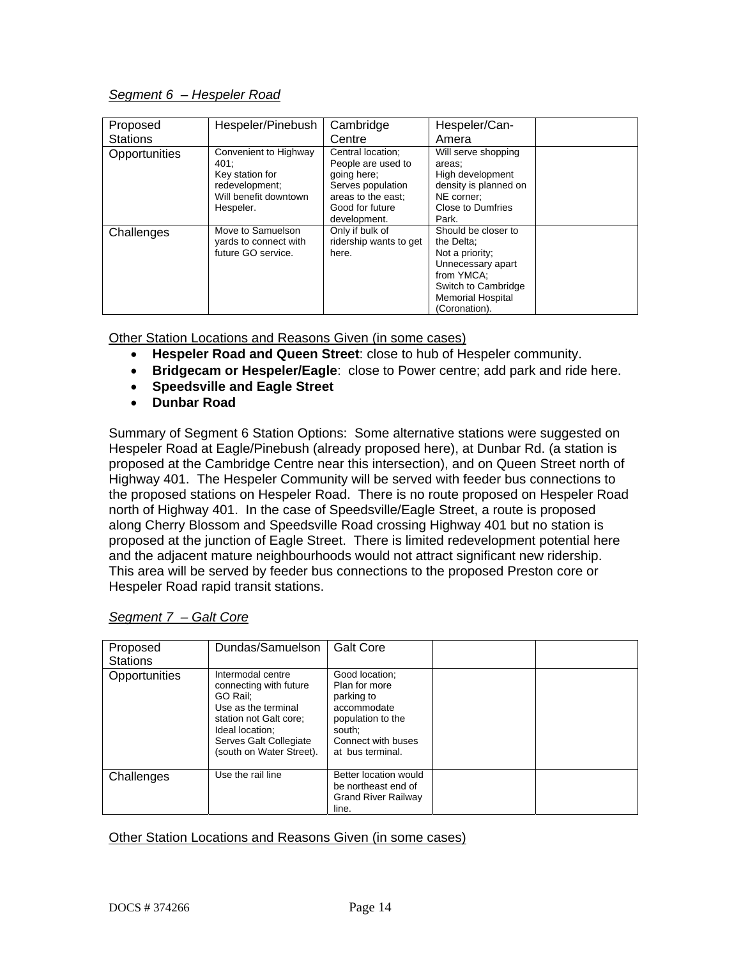### *Segment 6 – Hespeler Road*

| Proposed<br><b>Stations</b> | Hespeler/Pinebush     | Cambridge<br>Centre    | Hespeler/Can-<br>Amera   |  |
|-----------------------------|-----------------------|------------------------|--------------------------|--|
|                             |                       |                        |                          |  |
| Opportunities               | Convenient to Highway | Central location;      | Will serve shopping      |  |
|                             | 401:                  | People are used to     | areas;                   |  |
|                             | Key station for       | going here;            | High development         |  |
|                             | redevelopment;        | Serves population      | density is planned on    |  |
|                             | Will benefit downtown | areas to the east;     | NE corner:               |  |
|                             | Hespeler.             | Good for future        | Close to Dumfries        |  |
|                             |                       | development.           | Park.                    |  |
| Challenges                  | Move to Samuelson     | Only if bulk of        | Should be closer to      |  |
|                             | yards to connect with | ridership wants to get | the Delta:               |  |
|                             | future GO service.    | here.                  | Not a priority;          |  |
|                             |                       |                        | Unnecessary apart        |  |
|                             |                       |                        | from YMCA:               |  |
|                             |                       |                        | Switch to Cambridge      |  |
|                             |                       |                        | <b>Memorial Hospital</b> |  |
|                             |                       |                        | (Coronation).            |  |

Other Station Locations and Reasons Given (in some cases)

- **Hespeler Road and Queen Street**: close to hub of Hespeler community.
- **Bridgecam or Hespeler/Eagle**: close to Power centre; add park and ride here.
- **Speedsville and Eagle Street**
- **Dunbar Road**

Summary of Segment 6 Station Options: Some alternative stations were suggested on Hespeler Road at Eagle/Pinebush (already proposed here), at Dunbar Rd. (a station is proposed at the Cambridge Centre near this intersection), and on Queen Street north of Highway 401. The Hespeler Community will be served with feeder bus connections to the proposed stations on Hespeler Road. There is no route proposed on Hespeler Road north of Highway 401. In the case of Speedsville/Eagle Street, a route is proposed along Cherry Blossom and Speedsville Road crossing Highway 401 but no station is proposed at the junction of Eagle Street. There is limited redevelopment potential here and the adjacent mature neighbourhoods would not attract significant new ridership. This area will be served by feeder bus connections to the proposed Preston core or Hespeler Road rapid transit stations.

| Proposed<br><b>Stations</b> | Dundas/Samuelson                                                                                                                                                                  | <b>Galt Core</b>                                                                                                                      |  |
|-----------------------------|-----------------------------------------------------------------------------------------------------------------------------------------------------------------------------------|---------------------------------------------------------------------------------------------------------------------------------------|--|
| Opportunities               | Intermodal centre<br>connecting with future<br>GO Rail:<br>Use as the terminal<br>station not Galt core;<br>Ideal location:<br>Serves Galt Collegiate<br>(south on Water Street). | Good location;<br>Plan for more<br>parking to<br>accommodate<br>population to the<br>south:<br>Connect with buses<br>at bus terminal. |  |
| Challenges                  | Use the rail line                                                                                                                                                                 | Better location would<br>be northeast end of<br><b>Grand River Railway</b><br>line.                                                   |  |

### *Segment 7 – Galt Core*

#### Other Station Locations and Reasons Given (in some cases)